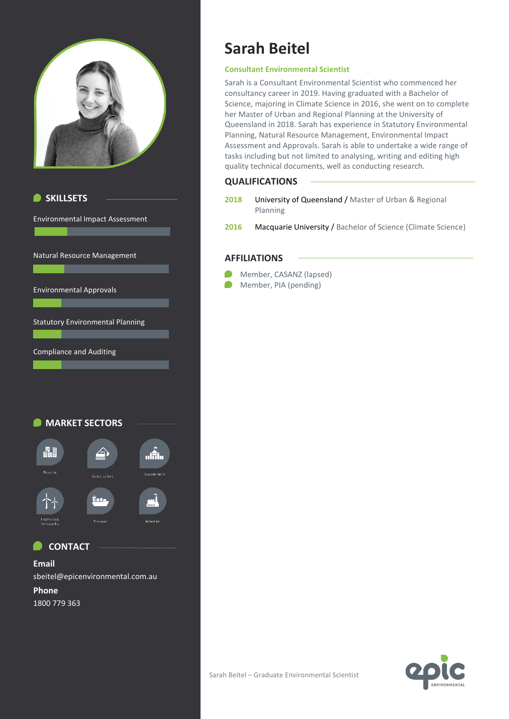





### **CONTACT**

**Email** sbeitel@epicenvironmental.com.au

**Phone** 1800 779 363

# **Sarah Beitel**

#### **Consultant Environmental Scientist**

Sarah is a Consultant Environmental Scientist who commenced her consultancy career in 2019. Having graduated with a Bachelor of Science, majoring in Climate Science in 2016, she went on to complete her Master of Urban and Regional Planning at the University of Queensland in 2018. Sarah has experience in Statutory Environmental Planning, Natural Resource Management, Environmental Impact Assessment and Approvals. Sarah is able to undertake a wide range of tasks including but not limited to analysing, writing and editing high quality technical documents, well as conducting research.

#### **QUALIFICATIONS**

- **2018** University of Queensland / Master of Urban & Regional Planning
- 2016 Macquarie University / Bachelor of Science (Climate Science)

#### **AFFILIATIONS**

**Member, CASANZ (lapsed)** 

**Member, PIA (pending)**